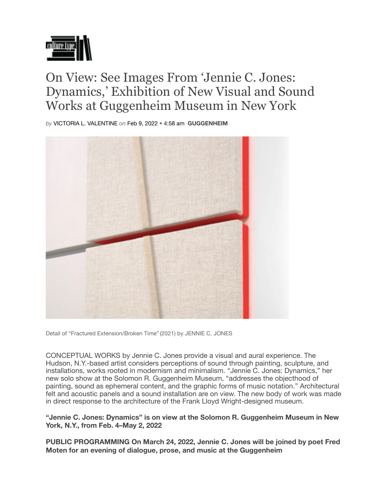

## On View: See Images From 'Jennie C. Jones: Dynamics,' Exhibition of New Visual and Sound Works at Guggenheim Museum in New York

*by* VICTORIA L. VALENTINE *on* Feb 9, 2022 *•* 4:58 am **GUGGENHEIM**



Detail of "Fractured Extension/Broken Time" (2021) by JENNIE C. JONES

CONCEPTUAL WORKS by Jennie C. Jones provide a visual and aural experience. The Hudson, N.Y.-based artist considers perceptions of sound through painting, sculpture, and installations, works rooted in modernism and minimalism. "Jennie C. Jones: Dynamics," her new solo show at the Solomon R. Guggenheim Museum, "addresses the objecthood of painting, sound as ephemeral content, and the graphic forms of music notation." Architectural felt and acoustic panels and a sound installation are on view. The new body of work was made in direct response to the architecture of the Frank Lloyd Wright-designed museum.

**"Jennie C. Jones: Dynamics" is on view at the Solomon R. Guggenheim Museum in New York, N.Y., from Feb. 4–May 2, 2022** 

**PUBLIC PROGRAMMING On March 24, 2022, Jennie C. Jones will be joined by poet Fred Moten for an evening of dialogue, prose, and music at the Guggenheim**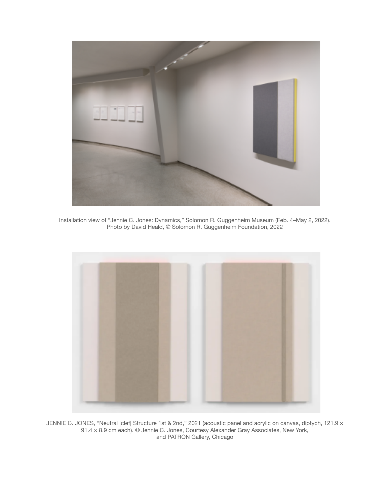

Installation view of "Jennie C. Jones: Dynamics," Solomon R. Guggenheim Museum (Feb. 4–May 2, 2022). Photo by David Heald, © Solomon R. Guggenheim Foundation, 2022



JENNIE C. JONES, "Neutral [clef] Structure 1st & 2nd," 2021 (acoustic panel and acrylic on canvas, diptych, 121.9 × 91.4 × 8.9 cm each). © Jennie C. Jones, Courtesy Alexander Gray Associates, New York, and PATRON Gallery, Chicago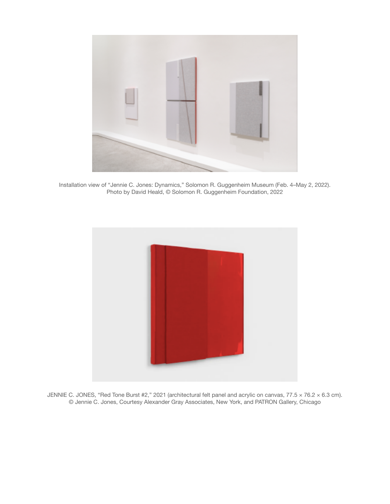

Installation view of "Jennie C. Jones: Dynamics," Solomon R. Guggenheim Museum (Feb. 4–May 2, 2022). Photo by David Heald, © Solomon R. Guggenheim Foundation, 2022



JENNIE C. JONES, "Red Tone Burst #2," 2021 (architectural felt panel and acrylic on canvas,  $77.5 \times 76.2 \times 6.3$  cm). © Jennie C. Jones, Courtesy Alexander Gray Associates, New York, and PATRON Gallery, Chicago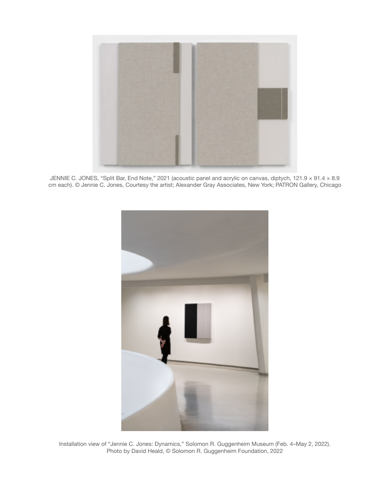

JENNIE C. JONES, "Split Bar, End Note," 2021 (acoustic panel and acrylic on canvas, diptych, 121.9 × 91.4 × 8.9 cm each). © Jennie C. Jones, Courtesy the artist; Alexander Gray Associates, New York; PATRON Gallery, Chicago



Installation view of "Jennie C. Jones: Dynamics," Solomon R. Guggenheim Museum (Feb. 4–May 2, 2022). Photo by David Heald, © Solomon R. Guggenheim Foundation, 2022